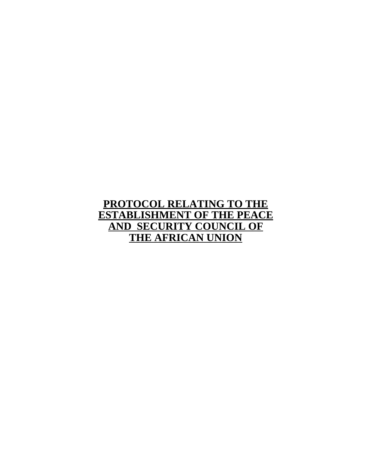# **PROTOCOL RELATING TO THE ESTABLISHMENT OF THE PEACE AND SECURITY COUNCIL OF THE AFRICAN UNION**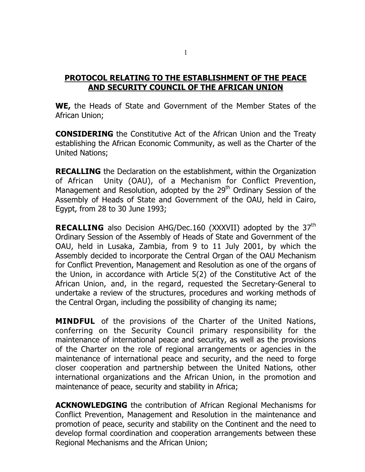### **PROTOCOL RELATING TO THE ESTABLISHMENT OF THE PEACE AND SECURITY COUNCIL OF THE AFRICAN UNION**

**WE,** the Heads of State and Government of the Member States of the African Union;

**CONSIDERING** the Constitutive Act of the African Union and the Treaty establishing the African Economic Community, as well as the Charter of the United Nations;

**RECALLING** the Declaration on the establishment, within the Organization of African Unity (OAU), of a Mechanism for Conflict Prevention, Management and Resolution, adopted by the 29<sup>th</sup> Ordinary Session of the Assembly of Heads of State and Government of the OAU, held in Cairo, Egypt, from 28 to 30 June 1993;

**RECALLING** also Decision AHG/Dec.160 (XXXVII) adopted by the 37<sup>th</sup> Ordinary Session of the Assembly of Heads of State and Government of the OAU, held in Lusaka, Zambia, from 9 to 11 July 2001, by which the Assembly decided to incorporate the Central Organ of the OAU Mechanism for Conflict Prevention, Management and Resolution as one of the organs of the Union, in accordance with Article 5(2) of the Constitutive Act of the African Union, and, in the regard, requested the Secretary-General to undertake a review of the structures, procedures and working methods of the Central Organ, including the possibility of changing its name;

**MINDFUL** of the provisions of the Charter of the United Nations, conferring on the Security Council primary responsibility for the maintenance of international peace and security, as well as the provisions of the Charter on the role of regional arrangements or agencies in the maintenance of international peace and security, and the need to forge closer cooperation and partnership between the United Nations, other international organizations and the African Union, in the promotion and maintenance of peace, security and stability in Africa;

**ACKNOWLEDGING** the contribution of African Regional Mechanisms for Conflict Prevention, Management and Resolution in the maintenance and promotion of peace, security and stability on the Continent and the need to develop formal coordination and cooperation arrangements between these Regional Mechanisms and the African Union;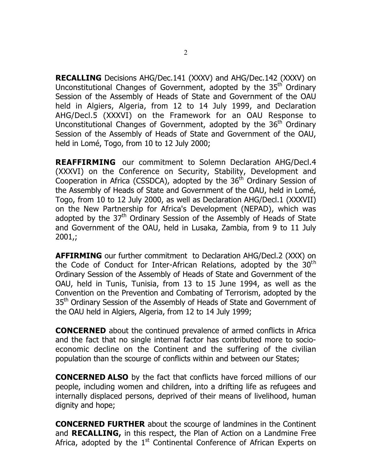**RECALLING** Decisions AHG/Dec.141 (XXXV) and AHG/Dec.142 (XXXV) on Unconstitutional Changes of Government, adopted by the 35<sup>th</sup> Ordinary Session of the Assembly of Heads of State and Government of the OAU held in Algiers, Algeria, from 12 to 14 July 1999, and Declaration AHG/Decl.5 (XXXVI) on the Framework for an OAU Response to Unconstitutional Changes of Government, adopted by the 36<sup>th</sup> Ordinary Session of the Assembly of Heads of State and Government of the OAU, held in Lomé, Togo, from 10 to 12 July 2000;

**REAFFIRMING** our commitment to Solemn Declaration AHG/Decl.4 (XXXVI) on the Conference on Security, Stability, Development and Cooperation in Africa (CSSDCA), adopted by the  $36<sup>th</sup>$  Ordinary Session of the Assembly of Heads of State and Government of the OAU, held in Lomé, Togo, from 10 to 12 July 2000, as well as Declaration AHG/Decl.1 (XXXVII) on the New Partnership for Africa's Development (NEPAD), which was adopted by the 37<sup>th</sup> Ordinary Session of the Assembly of Heads of State and Government of the OAU, held in Lusaka, Zambia, from 9 to 11 July 2001,;

**AFFIRMING** our further commitment to Declaration AHG/Decl.2 (XXX) on the Code of Conduct for Inter-African Relations, adopted by the  $30<sup>th</sup>$ Ordinary Session of the Assembly of Heads of State and Government of the OAU, held in Tunis, Tunisia, from 13 to 15 June 1994, as well as the Convention on the Prevention and Combating of Terrorism, adopted by the 35<sup>th</sup> Ordinary Session of the Assembly of Heads of State and Government of the OAU held in Algiers, Algeria, from 12 to 14 July 1999;

**CONCERNED** about the continued prevalence of armed conflicts in Africa and the fact that no single internal factor has contributed more to socioeconomic decline on the Continent and the suffering of the civilian population than the scourge of conflicts within and between our States;

**CONCERNED ALSO** by the fact that conflicts have forced millions of our people, including women and children, into a drifting life as refugees and internally displaced persons, deprived of their means of livelihood, human dignity and hope;

**CONCERNED FURTHER** about the scourge of landmines in the Continent and **RECALLING,** in this respect, the Plan of Action on a Landmine Free Africa, adopted by the  $1<sup>st</sup>$  Continental Conference of African Experts on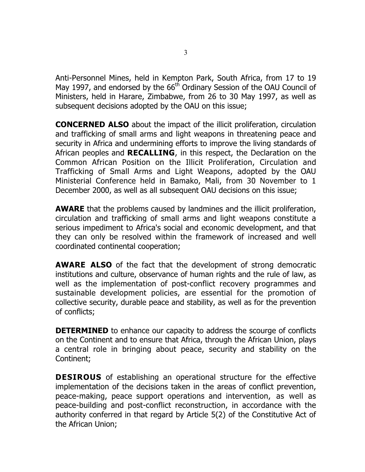Anti-Personnel Mines, held in Kempton Park, South Africa, from 17 to 19 May 1997, and endorsed by the 66<sup>th</sup> Ordinary Session of the OAU Council of Ministers, held in Harare, Zimbabwe, from 26 to 30 May 1997, as well as subsequent decisions adopted by the OAU on this issue;

**CONCERNED ALSO** about the impact of the illicit proliferation, circulation and trafficking of small arms and light weapons in threatening peace and security in Africa and undermining efforts to improve the living standards of African peoples and **RECALLING**, in this respect, the Declaration on the Common African Position on the Illicit Proliferation, Circulation and Trafficking of Small Arms and Light Weapons, adopted by the OAU Ministerial Conference held in Bamako, Mali, from 30 November to 1 December 2000, as well as all subsequent OAU decisions on this issue;

**AWARE** that the problems caused by landmines and the illicit proliferation, circulation and trafficking of small arms and light weapons constitute a serious impediment to Africa's social and economic development, and that they can only be resolved within the framework of increased and well coordinated continental cooperation;

**AWARE ALSO** of the fact that the development of strong democratic institutions and culture, observance of human rights and the rule of law, as well as the implementation of post-conflict recovery programmes and sustainable development policies, are essential for the promotion of collective security, durable peace and stability, as well as for the prevention of conflicts;

**DETERMINED** to enhance our capacity to address the scourge of conflicts on the Continent and to ensure that Africa, through the African Union, plays a central role in bringing about peace, security and stability on the Continent;

**DESIROUS** of establishing an operational structure for the effective implementation of the decisions taken in the areas of conflict prevention, peace-making, peace support operations and intervention, as well as peace-building and post-conflict reconstruction, in accordance with the authority conferred in that regard by Article 5(2) of the Constitutive Act of the African Union;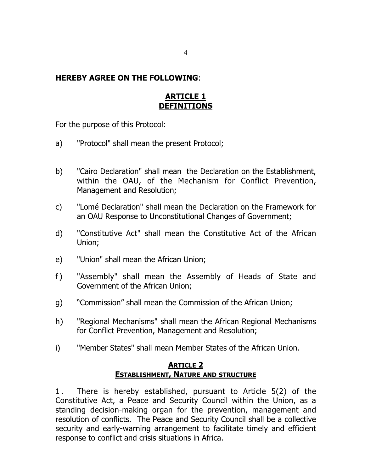### **HEREBY AGREE ON THE FOLLOWING**:

### **ARTICLE 1 DEFINITIONS**

For the purpose of this Protocol:

- a) "Protocol" shall mean the present Protocol;
- b) "Cairo Declaration" shall mean the Declaration on the Establishment, within the OAU, of the Mechanism for Conflict Prevention, Management and Resolution;
- c) "Lomé Declaration" shall mean the Declaration on the Framework for an OAU Response to Unconstitutional Changes of Government;
- d) "Constitutive Act" shall mean the Constitutive Act of the African Union;
- e) "Union" shall mean the African Union;
- f ) "Assembly" shall mean the Assembly of Heads of State and Government of the African Union;
- g) "Commission" shall mean the Commission of the African Union;
- h) "Regional Mechanisms" shall mean the African Regional Mechanisms for Conflict Prevention, Management and Resolution;
- i) "Member States" shall mean Member States of the African Union.

### **ARTICLE 2 ESTABLISHMENT, NATURE AND STRUCTURE**

1 . There is hereby established, pursuant to Article 5(2) of the Constitutive Act, a Peace and Security Council within the Union, as a standing decision-making organ for the prevention, management and resolution of conflicts. The Peace and Security Council shall be a collective security and early-warning arrangement to facilitate timely and efficient response to conflict and crisis situations in Africa.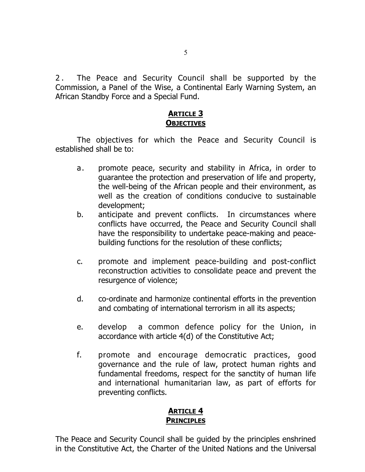2 . The Peace and Security Council shall be supported by the Commission, a Panel of the Wise, a Continental Early Warning System, an African Standby Force and a Special Fund.

### **ARTICLE 3 OBJECTIVES**

The objectives for which the Peace and Security Council is established shall be to:

- a. promote peace, security and stability in Africa, in order to guarantee the protection and preservation of life and property, the well-being of the African people and their environment, as well as the creation of conditions conducive to sustainable development;
- b. anticipate and prevent conflicts. In circumstances where conflicts have occurred, the Peace and Security Council shall have the responsibility to undertake peace-making and peacebuilding functions for the resolution of these conflicts;
- c. promote and implement peace-building and post-conflict reconstruction activities to consolidate peace and prevent the resurgence of violence;
- d. co-ordinate and harmonize continental efforts in the prevention and combating of international terrorism in all its aspects;
- e. develop a common defence policy for the Union, in accordance with article 4(d) of the Constitutive Act;
- f. promote and encourage democratic practices, good governance and the rule of law, protect human rights and fundamental freedoms, respect for the sanctity of human life and international humanitarian law, as part of efforts for preventing conflicts.

### **ARTICLE 4 PRINCIPLES**

The Peace and Security Council shall be guided by the principles enshrined in the Constitutive Act, the Charter of the United Nations and the Universal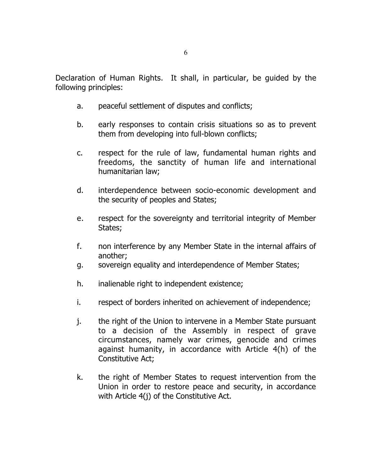Declaration of Human Rights. It shall, in particular, be guided by the following principles:

- a. peaceful settlement of disputes and conflicts;
- b. early responses to contain crisis situations so as to prevent them from developing into full-blown conflicts;
- c. respect for the rule of law, fundamental human rights and freedoms, the sanctity of human life and international humanitarian law;
- d. interdependence between socio-economic development and the security of peoples and States;
- e. respect for the sovereignty and territorial integrity of Member States;
- f. non interference by any Member State in the internal affairs of another;
- g. sovereign equality and interdependence of Member States;
- h. inalienable right to independent existence;
- i. respect of borders inherited on achievement of independence;
- j. the right of the Union to intervene in a Member State pursuant to a decision of the Assembly in respect of grave circumstances, namely war crimes, genocide and crimes against humanity, in accordance with Article 4(h) of the Constitutive Act;
- k. the right of Member States to request intervention from the Union in order to restore peace and security, in accordance with Article 4(j) of the Constitutive Act.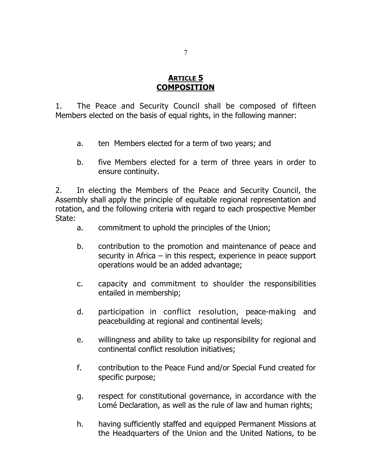### **ARTICLE 5 COMPOSITION**

1. The Peace and Security Council shall be composed of fifteen Members elected on the basis of equal rights, in the following manner:

- a. ten Members elected for a term of two years; and
- b. five Members elected for a term of three years in order to ensure continuity.

2. In electing the Members of the Peace and Security Council, the Assembly shall apply the principle of equitable regional representation and rotation, and the following criteria with regard to each prospective Member State:

- a. commitment to uphold the principles of the Union;
- b. contribution to the promotion and maintenance of peace and security in Africa – in this respect, experience in peace support operations would be an added advantage;
- c. capacity and commitment to shoulder the responsibilities entailed in membership;
- d. participation in conflict resolution, peace-making and peacebuilding at regional and continental levels;
- e. willingness and ability to take up responsibility for regional and continental conflict resolution initiatives;
- f. contribution to the Peace Fund and/or Special Fund created for specific purpose;
- g. respect for constitutional governance, in accordance with the Lomé Declaration, as well as the rule of law and human rights;
- h. having sufficiently staffed and equipped Permanent Missions at the Headquarters of the Union and the United Nations, to be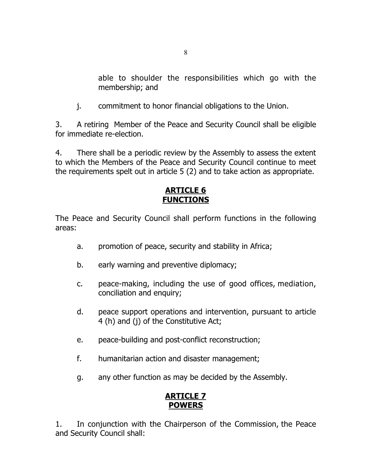able to shoulder the responsibilities which go with the membership; and

j. commitment to honor financial obligations to the Union.

3. A retiring Member of the Peace and Security Council shall be eligible for immediate re-election.

4. There shall be a periodic review by the Assembly to assess the extent to which the Members of the Peace and Security Council continue to meet the requirements spelt out in article 5 (2) and to take action as appropriate.

## **ARTICLE 6 FUNCTIONS**

The Peace and Security Council shall perform functions in the following areas:

- a. promotion of peace, security and stability in Africa;
- b. early warning and preventive diplomacy;
- c. peace-making, including the use of good offices, mediation, conciliation and enquiry;
- d. peace support operations and intervention, pursuant to article 4 (h) and (j) of the Constitutive Act;
- e. peace-building and post-conflict reconstruction;
- f. humanitarian action and disaster management;
- g. any other function as may be decided by the Assembly.

## **ARTICLE 7 POWERS**

1. In conjunction with the Chairperson of the Commission, the Peace and Security Council shall: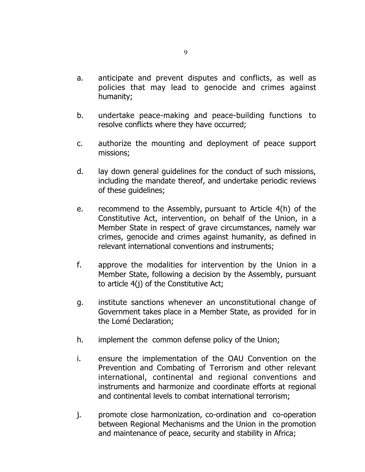- a. anticipate and prevent disputes and conflicts, as well as policies that may lead to genocide and crimes against humanity;
- b. undertake peace-making and peace-building functions to resolve conflicts where they have occurred;
- c. authorize the mounting and deployment of peace support missions;
- d. lay down general guidelines for the conduct of such missions, including the mandate thereof, and undertake periodic reviews of these guidelines;
- e. recommend to the Assembly, pursuant to Article 4(h) of the Constitutive Act, intervention, on behalf of the Union, in a Member State in respect of grave circumstances, namely war crimes, genocide and crimes against humanity, as defined in relevant international conventions and instruments;
- f. approve the modalities for intervention by the Union in a Member State, following a decision by the Assembly, pursuant to article 4(j) of the Constitutive Act;
- g.institute sanctions whenever an unconstitutional change of Government takes place in a Member State, as provided for in the Lomé Declaration;
- h. implement the common defense policy of the Union;
- i. ensure the implementation of the OAU Convention on the Prevention and Combating of Terrorism and other relevant international, continental and regional conventions and instruments and harmonize and coordinate efforts at regional and continental levels to combat international terrorism;
- j. promote close harmonization, co-ordination and co-operation between Regional Mechanisms and the Union in the promotion and maintenance of peace, security and stability in Africa;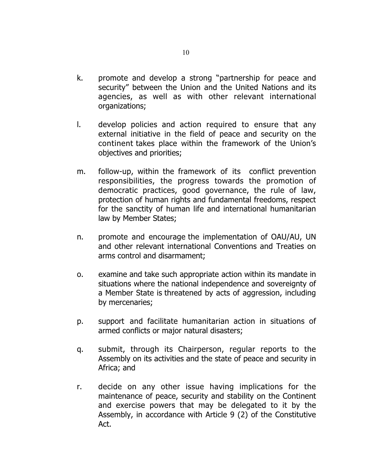- k. promote and develop a strong "partnership for peace and security" between the Union and the United Nations and its agencies, as well as with other relevant international organizations;
- l. develop policies and action required to ensure that any external initiative in the field of peace and security on the continent takes place within the framework of the Union's objectives and priorities;
- m. follow-up, within the framework of its conflict prevention responsibilities, the progress towards the promotion of democratic practices, good governance, the rule of law, protection of human rights and fundamental freedoms, respect for the sanctity of human life and international humanitarian law by Member States;
- n. promote and encourage the implementation of OAU/AU, UN and other relevant international Conventions and Treaties on arms control and disarmament;
- o. examine and take such appropriate action within its mandate in situations where the national independence and sovereignty of a Member State is threatened by acts of aggression, including by mercenaries;
- p. support and facilitate humanitarian action in situations of armed conflicts or major natural disasters;
- q. submit, through its Chairperson, regular reports to the Assembly on its activities and the state of peace and security in Africa; and
- r. decide on any other issue having implications for the maintenance of peace, security and stability on the Continent and exercise powers that may be delegated to it by the Assembly, in accordance with Article 9 (2) of the Constitutive Act.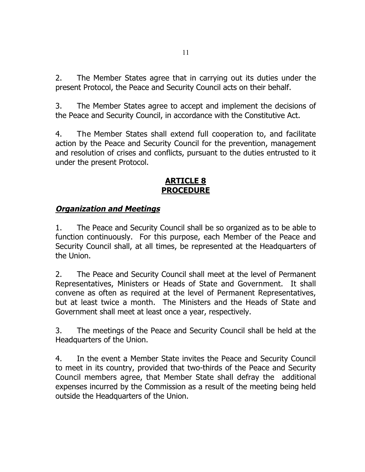2. The Member States agree that in carrying out its duties under the present Protocol, the Peace and Security Council acts on their behalf.

3. The Member States agree to accept and implement the decisions of the Peace and Security Council, in accordance with the Constitutive Act.

4. The Member States shall extend full cooperation to, and facilitate action by the Peace and Security Council for the prevention, management and resolution of crises and conflicts, pursuant to the duties entrusted to it under the present Protocol.

### **ARTICLE 8 PROCEDURE**

### **Organization and Meetings**

1. The Peace and Security Council shall be so organized as to be able to function continuously. For this purpose, each Member of the Peace and Security Council shall, at all times, be represented at the Headquarters of the Union.

2. The Peace and Security Council shall meet at the level of Permanent Representatives, Ministers or Heads of State and Government. It shall convene as often as required at the level of Permanent Representatives, but at least twice a month. The Ministers and the Heads of State and Government shall meet at least once a year, respectively.

3. The meetings of the Peace and Security Council shall be held at the Headquarters of the Union.

4. In the event a Member State invites the Peace and Security Council to meet in its country, provided that two-thirds of the Peace and Security Council members agree, that Member State shall defray the additional expenses incurred by the Commission as a result of the meeting being held outside the Headquarters of the Union.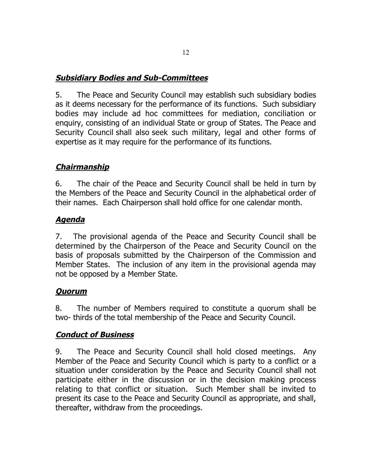## **Subsidiary Bodies and Sub-Committees**

5. The Peace and Security Council may establish such subsidiary bodies as it deems necessary for the performance of its functions. Such subsidiary bodies may include ad hoc committees for mediation, conciliation or enquiry, consisting of an individual State or group of States. The Peace and Security Council shall also seek such military, legal and other forms of expertise as it may require for the performance of its functions.

## **Chairmanship**

6. The chair of the Peace and Security Council shall be held in turn by the Members of the Peace and Security Council in the alphabetical order of their names. Each Chairperson shall hold office for one calendar month.

## **Agenda**

7. The provisional agenda of the Peace and Security Council shall be determined by the Chairperson of the Peace and Security Council on the basis of proposals submitted by the Chairperson of the Commission and Member States. The inclusion of any item in the provisional agenda may not be opposed by a Member State.

## **Quorum**

8. The number of Members required to constitute a quorum shall be two- thirds of the total membership of the Peace and Security Council.

## **Conduct of Business**

9. The Peace and Security Council shall hold closed meetings. Any Member of the Peace and Security Council which is party to a conflict or a situation under consideration by the Peace and Security Council shall not participate either in the discussion or in the decision making process relating to that conflict or situation. Such Member shall be invited to present its case to the Peace and Security Council as appropriate, and shall, thereafter, withdraw from the proceedings.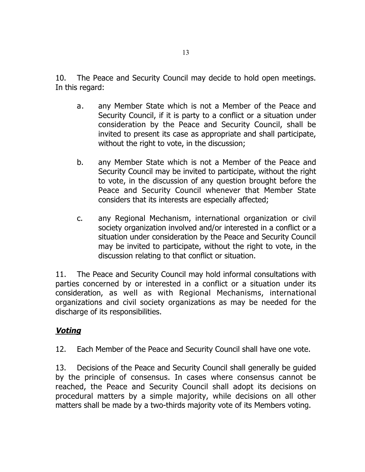10. The Peace and Security Council may decide to hold open meetings. In this regard:

- a. any Member State which is not a Member of the Peace and Security Council, if it is party to a conflict or a situation under consideration by the Peace and Security Council, shall be invited to present its case as appropriate and shall participate, without the right to vote, in the discussion;
- b. any Member State which is not a Member of the Peace and Security Council may be invited to participate, without the right to vote, in the discussion of any question brought before the Peace and Security Council whenever that Member State considers that its interests are especially affected;
- c. any Regional Mechanism, international organization or civil society organization involved and/or interested in a conflict or a situation under consideration by the Peace and Security Council may be invited to participate, without the right to vote, in the discussion relating to that conflict or situation.

11. The Peace and Security Council may hold informal consultations with parties concerned by or interested in a conflict or a situation under its consideration, as well as with Regional Mechanisms, international organizations and civil society organizations as may be needed for the discharge of its responsibilities.

## **Voting**

12. Each Member of the Peace and Security Council shall have one vote.

13. Decisions of the Peace and Security Council shall generally be guided by the principle of consensus. In cases where consensus cannot be reached, the Peace and Security Council shall adopt its decisions on procedural matters by a simple majority, while decisions on all other matters shall be made by a two-thirds majority vote of its Members voting.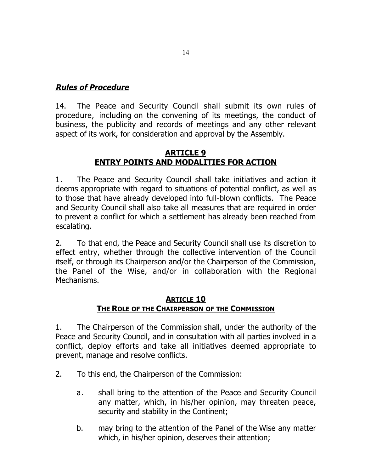### **Rules of Procedure**

14. The Peace and Security Council shall submit its own rules of procedure, including on the convening of its meetings, the conduct of business, the publicity and records of meetings and any other relevant aspect of its work, for consideration and approval by the Assembly.

### **ARTICLE 9 ENTRY POINTS AND MODALITIES FOR ACTION**

1. The Peace and Security Council shall take initiatives and action it deems appropriate with regard to situations of potential conflict, as well as to those that have already developed into full-blown conflicts. The Peace and Security Council shall also take all measures that are required in order to prevent a conflict for which a settlement has already been reached from escalating.

2. To that end, the Peace and Security Council shall use its discretion to effect entry, whether through the collective intervention of the Council itself, or through its Chairperson and/or the Chairperson of the Commission, the Panel of the Wise, and/or in collaboration with the Regional Mechanisms.

#### **ARTICLE 10 THE ROLE OF THE CHAIRPERSON OF THE COMMISSION**

1. The Chairperson of the Commission shall, under the authority of the Peace and Security Council, and in consultation with all parties involved in a conflict, deploy efforts and take all initiatives deemed appropriate to prevent, manage and resolve conflicts.

- 2. To this end, the Chairperson of the Commission:
	- a. shall bring to the attention of the Peace and Security Council any matter, which, in his/her opinion, may threaten peace, security and stability in the Continent;
	- b. may bring to the attention of the Panel of the Wise any matter which, in his/her opinion, deserves their attention;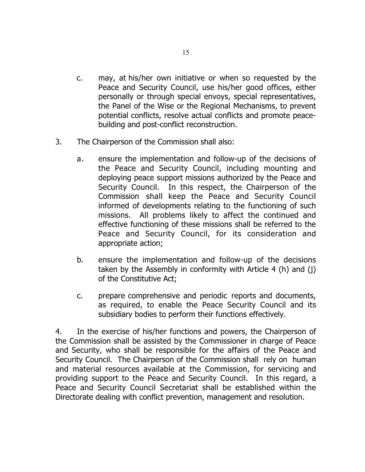- c. may, at his/her own initiative or when so requested by the Peace and Security Council, use his/her good offices, either personally or through special envoys, special representatives, the Panel of the Wise or the Regional Mechanisms, to prevent potential conflicts, resolve actual conflicts and promote peacebuilding and post-conflict reconstruction.
- 3. The Chairperson of the Commission shall also:
	- a. ensure the implementation and follow-up of the decisions of the Peace and Security Council, including mounting and deploying peace support missions authorized by the Peace and Security Council. In this respect, the Chairperson of the Commission shall keep the Peace and Security Council informed of developments relating to the functioning of such missions. All problems likely to affect the continued and effective functioning of these missions shall be referred to the Peace and Security Council, for its consideration and appropriate action;
	- b. ensure the implementation and follow-up of the decisions taken by the Assembly in conformity with Article 4 (h) and (j) of the Constitutive Act;
	- c. prepare comprehensive and periodic reports and documents, as required, to enable the Peace Security Council and its subsidiary bodies to perform their functions effectively.

4. In the exercise of his/her functions and powers, the Chairperson of the Commission shall be assisted by the Commissioner in charge of Peace and Security, who shall be responsible for the affairs of the Peace and Security Council. The Chairperson of the Commission shall rely on human and material resources available at the Commission, for servicing and providing support to the Peace and Security Council. In this regard, a Peace and Security Council Secretariat shall be established within the Directorate dealing with conflict prevention, management and resolution.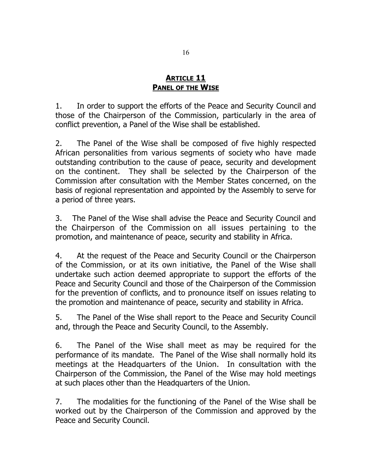### **ARTICLE 11 PANEL OF THE WISE**

1. In order to support the efforts of the Peace and Security Council and those of the Chairperson of the Commission, particularly in the area of conflict prevention, a Panel of the Wise shall be established.

2. The Panel of the Wise shall be composed of five highly respected African personalities from various segments of society who have made outstanding contribution to the cause of peace, security and development on the continent. They shall be selected by the Chairperson of the Commission after consultation with the Member States concerned, on the basis of regional representation and appointed by the Assembly to serve for a period of three years.

3. The Panel of the Wise shall advise the Peace and Security Council and the Chairperson of the Commission on all issues pertaining to the promotion, and maintenance of peace, security and stability in Africa.

4. At the request of the Peace and Security Council or the Chairperson of the Commission, or at its own initiative, the Panel of the Wise shall undertake such action deemed appropriate to support the efforts of the Peace and Security Council and those of the Chairperson of the Commission for the prevention of conflicts, and to pronounce itself on issues relating to the promotion and maintenance of peace, security and stability in Africa.

5. The Panel of the Wise shall report to the Peace and Security Council and, through the Peace and Security Council, to the Assembly.

6. The Panel of the Wise shall meet as may be required for the performance of its mandate. The Panel of the Wise shall normally hold its meetings at the Headquarters of the Union. In consultation with the Chairperson of the Commission, the Panel of the Wise may hold meetings at such places other than the Headquarters of the Union.

7. The modalities for the functioning of the Panel of the Wise shall be worked out by the Chairperson of the Commission and approved by the Peace and Security Council.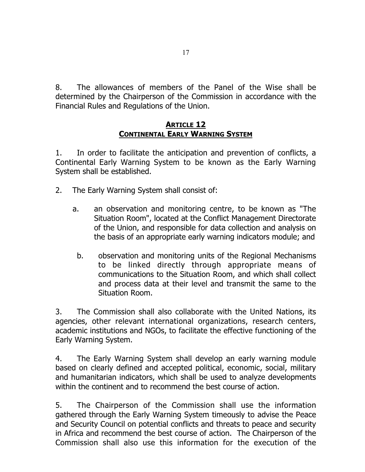8. The allowances of members of the Panel of the Wise shall be determined by the Chairperson of the Commission in accordance with the Financial Rules and Regulations of the Union.

#### **ARTICLE 12 CONTINENTAL EARLY WARNING SYSTEM**

1. In order to facilitate the anticipation and prevention of conflicts, a Continental Early Warning System to be known as the Early Warning System shall be established.

- 2. The Early Warning System shall consist of:
	- a. an observation and monitoring centre, to be known as "The Situation Room", located at the Conflict Management Directorate of the Union, and responsible for data collection and analysis on the basis of an appropriate early warning indicators module; and
		- b. observation and monitoring units of the Regional Mechanisms to be linked directly through appropriate means of communications to the Situation Room, and which shall collect and process data at their level and transmit the same to the Situation Room.

3. The Commission shall also collaborate with the United Nations, its agencies, other relevant international organizations, research centers, academic institutions and NGOs, to facilitate the effective functioning of the Early Warning System.

4. The Early Warning System shall develop an early warning module based on clearly defined and accepted political, economic, social, military and humanitarian indicators, which shall be used to analyze developments within the continent and to recommend the best course of action.

5. The Chairperson of the Commission shall use the information gathered through the Early Warning System timeously to advise the Peace and Security Council on potential conflicts and threats to peace and security in Africa and recommend the best course of action. The Chairperson of the Commission shall also use this information for the execution of the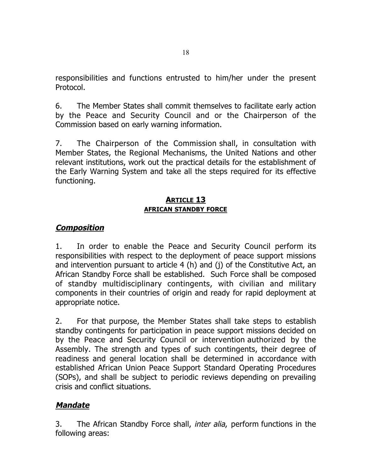responsibilities and functions entrusted to him/her under the present Protocol.

6. The Member States shall commit themselves to facilitate early action by the Peace and Security Council and or the Chairperson of the Commission based on early warning information.

7. The Chairperson of the Commission shall, in consultation with Member States, the Regional Mechanisms, the United Nations and other relevant institutions, work out the practical details for the establishment of the Early Warning System and take all the steps required for its effective functioning.

#### **ARTICLE 13 AFRICAN STANDBY FORCE**

## **Composition**

1. In order to enable the Peace and Security Council perform its responsibilities with respect to the deployment of peace support missions and intervention pursuant to article 4 (h) and (j) of the Constitutive Act, an African Standby Force shall be established. Such Force shall be composed of standby multidisciplinary contingents, with civilian and military components in their countries of origin and ready for rapid deployment at appropriate notice.

2. For that purpose, the Member States shall take steps to establish standby contingents for participation in peace support missions decided on by the Peace and Security Council or intervention authorized by the Assembly. The strength and types of such contingents, their degree of readiness and general location shall be determined in accordance with established African Union Peace Support Standard Operating Procedures (SOPs), and shall be subject to periodic reviews depending on prevailing crisis and conflict situations.

## **Mandate**

3. The African Standby Force shall, inter alia, perform functions in the following areas: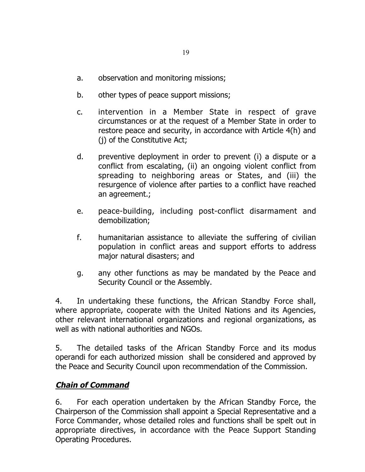- a. observation and monitoring missions;
- b. other types of peace support missions;
- c. intervention in a Member State in respect of grave circumstances or at the request of a Member State in order to restore peace and security, in accordance with Article 4(h) and (j) of the Constitutive Act;
- d. preventive deployment in order to prevent (i) a dispute or a conflict from escalating, (ii) an ongoing violent conflict from spreading to neighboring areas or States, and (iii) the resurgence of violence after parties to a conflict have reached an agreement.;
- e. peace-building, including post-conflict disarmament and demobilization;
- f. humanitarian assistance to alleviate the suffering of civilian population in conflict areas and support efforts to address major natural disasters; and
- g. any other functions as may be mandated by the Peace and Security Council or the Assembly.

4. In undertaking these functions, the African Standby Force shall, where appropriate, cooperate with the United Nations and its Agencies, other relevant international organizations and regional organizations, as well as with national authorities and NGOs.

5. The detailed tasks of the African Standby Force and its modus operandi for each authorized mission shall be considered and approved by the Peace and Security Council upon recommendation of the Commission.

### **Chain of Command**

6. For each operation undertaken by the African Standby Force, the Chairperson of the Commission shall appoint a Special Representative and a Force Commander, whose detailed roles and functions shall be spelt out in appropriate directives, in accordance with the Peace Support Standing Operating Procedures.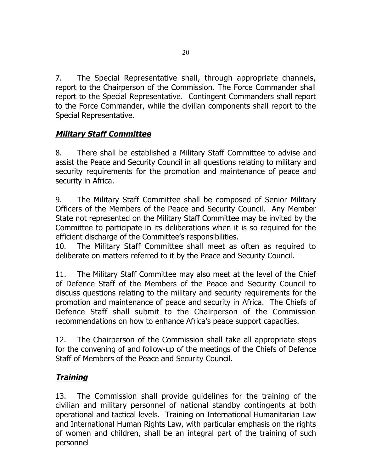7. The Special Representative shall, through appropriate channels, report to the Chairperson of the Commission. The Force Commander shall report to the Special Representative. Contingent Commanders shall report to the Force Commander, while the civilian components shall report to the Special Representative.

## **Military Staff Committee**

8. There shall be established a Military Staff Committee to advise and assist the Peace and Security Council in all questions relating to military and security requirements for the promotion and maintenance of peace and security in Africa.

9. The Military Staff Committee shall be composed of Senior Military Officers of the Members of the Peace and Security Council. Any Member State not represented on the Military Staff Committee may be invited by the Committee to participate in its deliberations when it is so required for the efficient discharge of the Committee's responsibilities.

10. The Military Staff Committee shall meet as often as required to deliberate on matters referred to it by the Peace and Security Council.

11. The Military Staff Committee may also meet at the level of the Chief of Defence Staff of the Members of the Peace and Security Council to discuss questions relating to the military and security requirements for the promotion and maintenance of peace and security in Africa. The Chiefs of Defence Staff shall submit to the Chairperson of the Commission recommendations on how to enhance Africa's peace support capacities.

12. The Chairperson of the Commission shall take all appropriate steps for the convening of and follow-up of the meetings of the Chiefs of Defence Staff of Members of the Peace and Security Council.

## **Training**

13. The Commission shall provide guidelines for the training of the civilian and military personnel of national standby contingents at both operational and tactical levels. Training on International Humanitarian Law and International Human Rights Law, with particular emphasis on the rights of women and children, shall be an integral part of the training of such personnel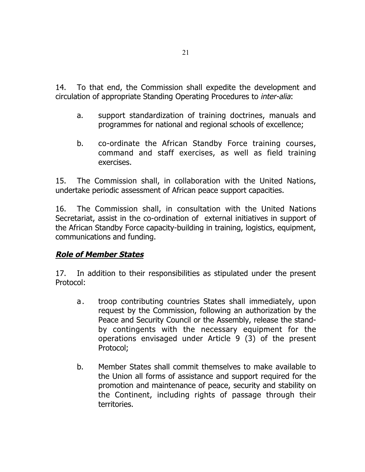14. To that end, the Commission shall expedite the development and circulation of appropriate Standing Operating Procedures to inter-alia:

- a. support standardization of training doctrines, manuals and programmes for national and regional schools of excellence;
- b. co-ordinate the African Standby Force training courses, command and staff exercises, as well as field training exercises.

15. The Commission shall, in collaboration with the United Nations, undertake periodic assessment of African peace support capacities.

16. The Commission shall, in consultation with the United Nations Secretariat, assist in the co-ordination of external initiatives in support of the African Standby Force capacity-building in training, logistics, equipment, communications and funding.

### **Role of Member States**

17. In addition to their responsibilities as stipulated under the present Protocol:

- a. troop contributing countries States shall immediately, upon request by the Commission, following an authorization by the Peace and Security Council or the Assembly, release the standby contingents with the necessary equipment for the operations envisaged under Article 9 (3) of the present Protocol;
- b. Member States shall commit themselves to make available to the Union all forms of assistance and support required for the promotion and maintenance of peace, security and stability on the Continent, including rights of passage through their territories.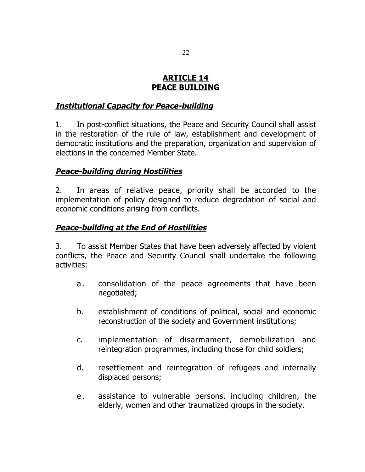### **ARTICLE 14 PEACE BUILDING**

### **Institutional Capacity for Peace-building**

1. In post-conflict situations, the Peace and Security Council shall assist in the restoration of the rule of law, establishment and development of democratic institutions and the preparation, organization and supervision of elections in the concerned Member State.

### **Peace-building during Hostilities**

2. In areas of relative peace, priority shall be accorded to the implementation of policy designed to reduce degradation of social and economic conditions arising from conflicts.

### **Peace-building at the End of Hostilities**

3. To assist Member States that have been adversely affected by violent conflicts, the Peace and Security Council shall undertake the following activities:

- a. consolidation of the peace agreements that have been negotiated;
- b. establishment of conditions of political, social and economic reconstruction of the society and Government institutions;
- c. implementation of disarmament, demobilization and reintegration programmes, including those for child soldiers;
- d. resettlement and reintegration of refugees and internally displaced persons;
- e . assistance to vulnerable persons, including children, the elderly, women and other traumatized groups in the society.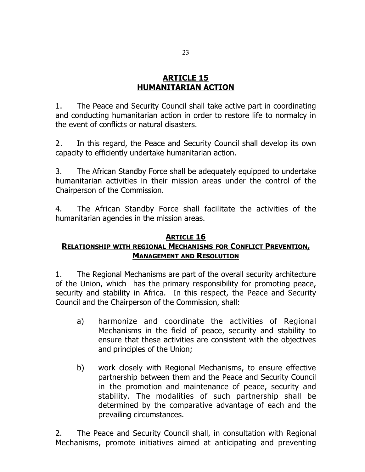## **ARTICLE 15 HUMANITARIAN ACTION**

1. The Peace and Security Council shall take active part in coordinating and conducting humanitarian action in order to restore life to normalcy in the event of conflicts or natural disasters.

2. In this regard, the Peace and Security Council shall develop its own capacity to efficiently undertake humanitarian action.

3. The African Standby Force shall be adequately equipped to undertake humanitarian activities in their mission areas under the control of the Chairperson of the Commission.

4. The African Standby Force shall facilitate the activities of the humanitarian agencies in the mission areas.

### **ARTICLE 16**

## **RELATIONSHIP WITH REGIONAL MECHANISMS FOR CONFLICT PREVENTION, MANAGEMENT AND RESOLUTION**

1. The Regional Mechanisms are part of the overall security architecture of the Union, which has the primary responsibility for promoting peace, security and stability in Africa. In this respect, the Peace and Security Council and the Chairperson of the Commission, shall:

- a) harmonize and coordinate the activities of Regional Mechanisms in the field of peace, security and stability to ensure that these activities are consistent with the objectives and principles of the Union;
- b) work closely with Regional Mechanisms, to ensure effective partnership between them and the Peace and Security Council in the promotion and maintenance of peace, security and stability. The modalities of such partnership shall be determined by the comparative advantage of each and the prevailing circumstances.

2. The Peace and Security Council shall, in consultation with Regional Mechanisms, promote initiatives aimed at anticipating and preventing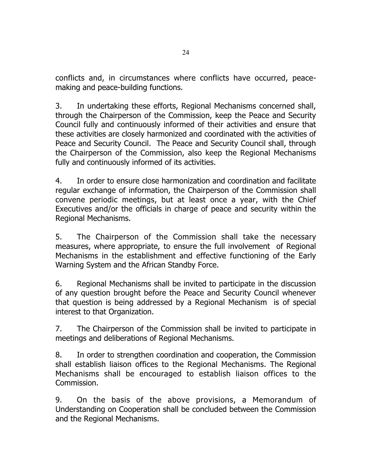conflicts and, in circumstances where conflicts have occurred, peacemaking and peace-building functions.

3. In undertaking these efforts, Regional Mechanisms concerned shall, through the Chairperson of the Commission, keep the Peace and Security Council fully and continuously informed of their activities and ensure that these activities are closely harmonized and coordinated with the activities of Peace and Security Council. The Peace and Security Council shall, through the Chairperson of the Commission, also keep the Regional Mechanisms fully and continuously informed of its activities.

4. In order to ensure close harmonization and coordination and facilitate regular exchange of information, the Chairperson of the Commission shall convene periodic meetings, but at least once a year, with the Chief Executives and/or the officials in charge of peace and security within the Regional Mechanisms.

5. The Chairperson of the Commission shall take the necessary measures, where appropriate, to ensure the full involvement of Regional Mechanisms in the establishment and effective functioning of the Early Warning System and the African Standby Force.

6. Regional Mechanisms shall be invited to participate in the discussion of any question brought before the Peace and Security Council whenever that question is being addressed by a Regional Mechanism is of special interest to that Organization.

7. The Chairperson of the Commission shall be invited to participate in meetings and deliberations of Regional Mechanisms.

8. In order to strengthen coordination and cooperation, the Commission shall establish liaison offices to the Regional Mechanisms. The Regional Mechanisms shall be encouraged to establish liaison offices to the Commission.

9. On the basis of the above provisions, a Memorandum of Understanding on Cooperation shall be concluded between the Commission and the Regional Mechanisms.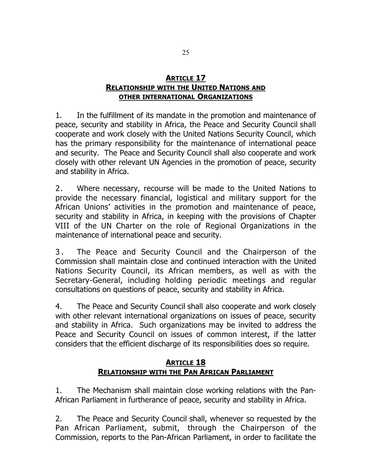### **ARTICLE 17 RELATIONSHIP WITH THE UNITED NATIONS AND OTHER INTERNATIONAL ORGANIZATIONS**

1. In the fulfillment of its mandate in the promotion and maintenance of peace, security and stability in Africa, the Peace and Security Council shall cooperate and work closely with the United Nations Security Council, which has the primary responsibility for the maintenance of international peace and security. The Peace and Security Council shall also cooperate and work closely with other relevant UN Agencies in the promotion of peace, security and stability in Africa.

2. Where necessary, recourse will be made to the United Nations to provide the necessary financial, logistical and military support for the African Unions' activities in the promotion and maintenance of peace, security and stability in Africa, in keeping with the provisions of Chapter VIII of the UN Charter on the role of Regional Organizations in the maintenance of international peace and security.

3 . The Peace and Security Council and the Chairperson of the Commission shall maintain close and continued interaction with the United Nations Security Council, its African members, as well as with the Secretary-General, including holding periodic meetings and regular consultations on questions of peace, security and stability in Africa.

4. The Peace and Security Council shall also cooperate and work closely with other relevant international organizations on issues of peace, security and stability in Africa. Such organizations may be invited to address the Peace and Security Council on issues of common interest, if the latter considers that the efficient discharge of its responsibilities does so require.

### **ARTICLE 18 RELATIONSHIP WITH THE PAN AFRICAN PARLIAMENT**

1. The Mechanism shall maintain close working relations with the Pan-African Parliament in furtherance of peace, security and stability in Africa.

2. The Peace and Security Council shall, whenever so requested by the Pan African Parliament, submit, through the Chairperson of the Commission, reports to the Pan-African Parliament, in order to facilitate the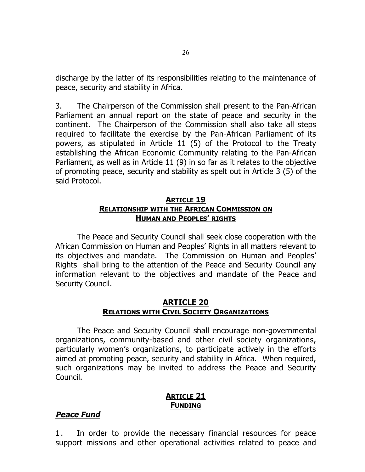discharge by the latter of its responsibilities relating to the maintenance of peace, security and stability in Africa.

3. The Chairperson of the Commission shall present to the Pan-African Parliament an annual report on the state of peace and security in the continent. The Chairperson of the Commission shall also take all steps required to facilitate the exercise by the Pan-African Parliament of its powers, as stipulated in Article 11 (5) of the Protocol to the Treaty establishing the African Economic Community relating to the Pan-African Parliament, as well as in Article 11 (9) in so far as it relates to the objective of promoting peace, security and stability as spelt out in Article 3 (5) of the said Protocol.

### **ARTICLE 19 RELATIONSHIP WITH THE AFRICAN COMMISSION ON HUMAN AND PEOPLES' RIGHTS**

The Peace and Security Council shall seek close cooperation with the African Commission on Human and Peoples' Rights in all matters relevant to its objectives and mandate. The Commission on Human and Peoples' Rights shall bring to the attention of the Peace and Security Council any information relevant to the objectives and mandate of the Peace and Security Council.

### **ARTICLE 20 RELATIONS WITH CIVIL SOCIETY ORGANIZATIONS**

The Peace and Security Council shall encourage non-governmental organizations, community-based and other civil society organizations, particularly women's organizations, to participate actively in the efforts aimed at promoting peace, security and stability in Africa. When required, such organizations may be invited to address the Peace and Security Council.

### **ARTICLE 21 FUNDING**

### **Peace Fund**

1. In order to provide the necessary financial resources for peace support missions and other operational activities related to peace and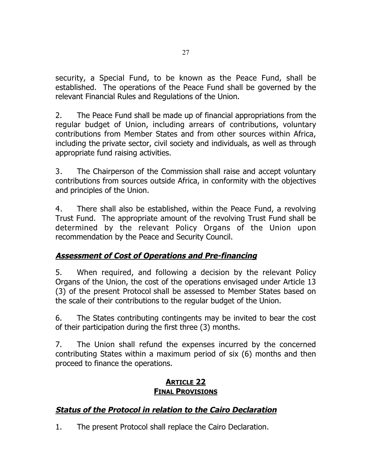security, a Special Fund, to be known as the Peace Fund, shall be established. The operations of the Peace Fund shall be governed by the relevant Financial Rules and Regulations of the Union.

2. The Peace Fund shall be made up of financial appropriations from the regular budget of Union, including arrears of contributions, voluntary contributions from Member States and from other sources within Africa, including the private sector, civil society and individuals, as well as through appropriate fund raising activities.

3. The Chairperson of the Commission shall raise and accept voluntary contributions from sources outside Africa, in conformity with the objectives and principles of the Union.

4. There shall also be established, within the Peace Fund, a revolving Trust Fund. The appropriate amount of the revolving Trust Fund shall be determined by the relevant Policy Organs of the Union upon recommendation by the Peace and Security Council.

## **Assessment of Cost of Operations and Pre-financing**

5. When required, and following a decision by the relevant Policy Organs of the Union, the cost of the operations envisaged under Article 13 (3) of the present Protocol shall be assessed to Member States based on the scale of their contributions to the regular budget of the Union.

6. The States contributing contingents may be invited to bear the cost of their participation during the first three (3) months.

7. The Union shall refund the expenses incurred by the concerned contributing States within a maximum period of six (6) months and then proceed to finance the operations.

### **ARTICLE 22 FINAL PROVISIONS**

## **Status of the Protocol in relation to the Cairo Declaration**

1. The present Protocol shall replace the Cairo Declaration.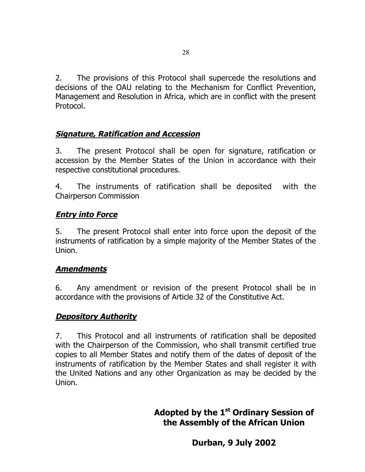2. The provisions of this Protocol shall supercede the resolutions and decisions of the OAU relating to the Mechanism for Conflict Prevention, Management and Resolution in Africa, which are in conflict with the present **Protocol** 

## **Signature, Ratification and Accession**

3. The present Protocol shall be open for signature, ratification or accession by the Member States of the Union in accordance with their respective constitutional procedures.

4. The instruments of ratification shall be deposited with the Chairperson Commission

## **Entry into Force**

5. The present Protocol shall enter into force upon the deposit of the instruments of ratification by a simple majority of the Member States of the Union.

### **Amendments**

6. Any amendment or revision of the present Protocol shall be in accordance with the provisions of Article 32 of the Constitutive Act.

### **Depository Authority**

7. This Protocol and all instruments of ratification shall be deposited with the Chairperson of the Commission, who shall transmit certified true copies to all Member States and notify them of the dates of deposit of the instruments of ratification by the Member States and shall register it with the United Nations and any other Organization as may be decided by the Union.

> **Adopted by the 1st Ordinary Session of the Assembly of the African Union**

> > **Durban, 9 July 2002**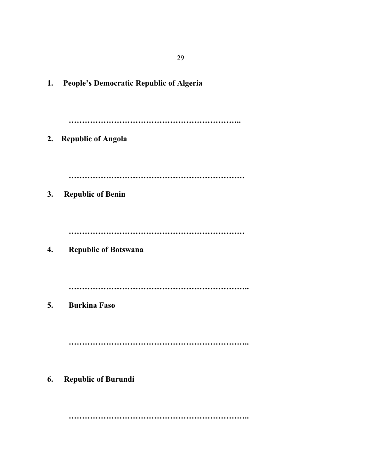**1. People's Democratic Republic of Algeria ……………………………………………………….. 2. Republic of Angola ………………………………………………………… 3. Republic of Benin** ………………………………………………………………… **4. Republic of Botswana ………………………………………………………….. 5. Burkina Faso ………………………………………………………….. 6. Republic of Burundi**

**…………………………………………………………..**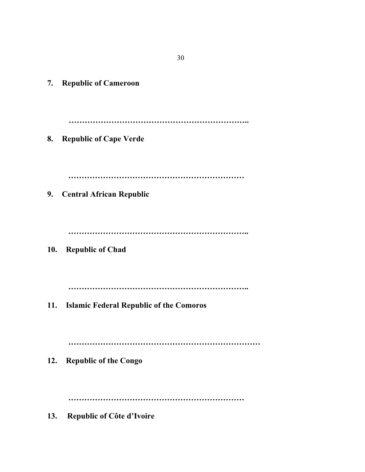| 7.  | <b>Republic of Cameroon</b>                 |
|-----|---------------------------------------------|
| 8.  | <b>Republic of Cape Verde</b>               |
|     | 9. Central African Republic                 |
|     | 10. Republic of Chad                        |
|     | 11. Islamic Federal Republic of the Comoros |
| 12. | <b>Republic of the Congo</b>                |
| 13. | <b>Republic of Côte d'Ivoire</b>            |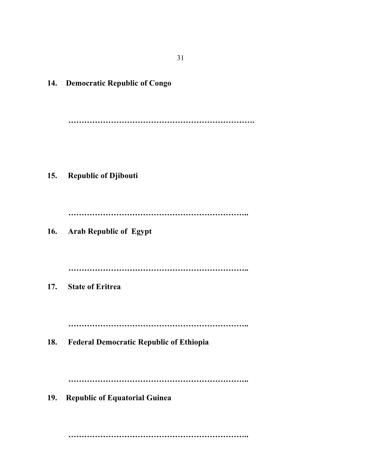**14. Democratic Republic of Congo ……………………………………………………………. 15. Republic of Djibouti ………………………………………………………….. 16. Arab Republic of Egypt ………………………………………………………….. 17. State of Eritrea ………………………………………………………….. 18. Federal Democratic Republic of Ethiopia ………………………………………………………….. 19. Republic of Equatorial Guinea**

**…………………………………………………………..**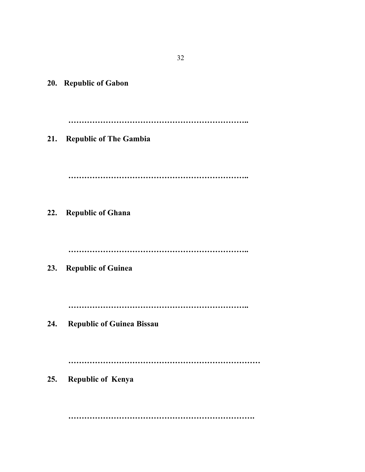|     | 20. Republic of Gabon            |
|-----|----------------------------------|
| 21. | <b>Republic of The Gambia</b>    |
|     |                                  |
|     | 22. Republic of Ghana            |
|     | 23. Republic of Guinea           |
| 24. | <b>Republic of Guinea Bissau</b> |
|     | 25. Republic of Kenya            |
|     |                                  |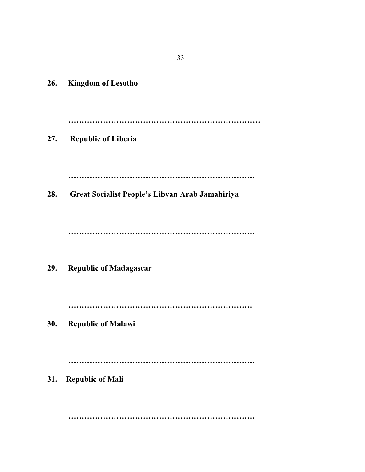| 26. | <b>Kingdom of Lesotho</b>                       |
|-----|-------------------------------------------------|
|     | 27. Republic of Liberia                         |
| 28. | Great Socialist People's Libyan Arab Jamahiriya |
|     |                                                 |
| 29. | <b>Republic of Madagascar</b>                   |
| 30. | <b>Republic of Malawi</b>                       |
|     | 31. Republic of Mali                            |
|     |                                                 |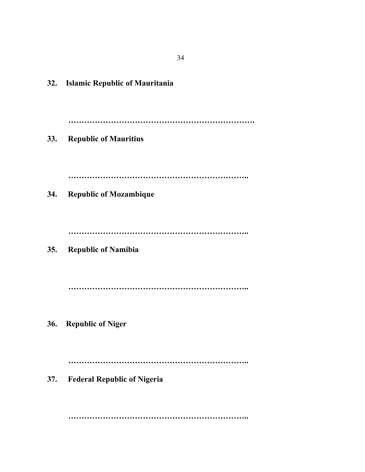|            | 32. Islamic Republic of Mauritania |
|------------|------------------------------------|
| <b>33.</b> | <b>Republic of Mauritius</b>       |
| <b>34.</b> | <b>Republic of Mozambique</b>      |
| 35.        | <b>Republic of Namibia</b>         |
|            |                                    |
|            | 36. Republic of Niger              |
|            | 37. Federal Republic of Nigeria    |
|            |                                    |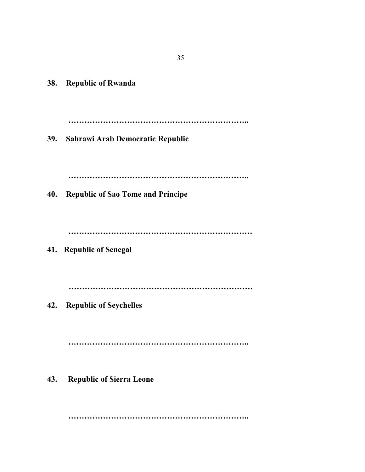| <b>38.</b> | <b>Republic of Rwanda</b>                |
|------------|------------------------------------------|
|            | 39. Sahrawi Arab Democratic Republic     |
| 40.        | <b>Republic of Sao Tome and Principe</b> |
|            | 41. Republic of Senegal                  |
|            | 42. Republic of Seychelles               |
|            |                                          |
| 43.        | <b>Republic of Sierra Leone</b>          |
|            |                                          |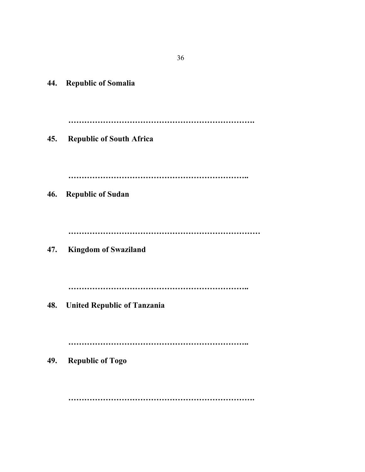**44. Republic of Somalia ……………………………………………………………. 45. Republic of South Africa ………………………………………………………….. 46. Republic of Sudan ……………………………………………………………… 47. Kingdom of Swaziland ………………………………………………………….. 48. United Republic of Tanzania ………………………………………………………….. 49. Republic of Togo …………………………………………………………….**